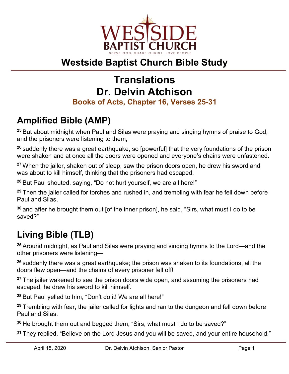

## **Westside Baptist Church Bible Study**

# **Translations Dr. Delvin Atchison**

#### **Books of Acts, Chapter 16, Verses 25-31**

## **Amplified Bible (AMP)**

**<sup>25</sup>** But about midnight when Paul and Silas were praying and singing hymns of praise to God, and the prisoners were listening to them;

**<sup>26</sup>** suddenly there was a great earthquake, so [powerful] that the very foundations of the prison were shaken and at once all the doors were opened and everyone's chains were unfastened.

**<sup>27</sup>** When the jailer, shaken out of sleep, saw the prison doors open, he drew his sword and was about to kill himself, thinking that the prisoners had escaped.

**<sup>28</sup>** But Paul shouted, saying, "Do not hurt yourself, we are all here!"

**<sup>29</sup>** Then the jailer called for torches and rushed in, and trembling with fear he fell down before Paul and Silas,

**<sup>30</sup>** and after he brought them out [of the inner prison], he said, "Sirs, what must I do to be saved?"

# **Living Bible (TLB)**

**<sup>25</sup>** Around midnight, as Paul and Silas were praying and singing hymns to the Lord—and the other prisoners were listening—

**<sup>26</sup>** suddenly there was a great earthquake; the prison was shaken to its foundations, all the doors flew open—and the chains of every prisoner fell off!

**<sup>27</sup>** The jailer wakened to see the prison doors wide open, and assuming the prisoners had escaped, he drew his sword to kill himself.

**<sup>28</sup>** But Paul yelled to him, "Don't do it! We are all here!"

**<sup>29</sup>** Trembling with fear, the jailer called for lights and ran to the dungeon and fell down before Paul and Silas.

**<sup>30</sup>** He brought them out and begged them, "Sirs, what must I do to be saved?"

**<sup>31</sup>** They replied, "Believe on the Lord Jesus and you will be saved, and your entire household."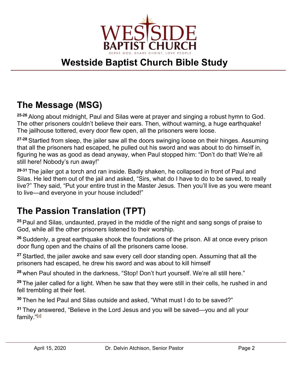

## **Westside Baptist Church Bible Study**

#### **The Message (MSG)**

**25-26** Along about midnight, Paul and Silas were at prayer and singing a robust hymn to God. The other prisoners couldn't believe their ears. Then, without warning, a huge earthquake! The jailhouse tottered, every door flew open, all the prisoners were loose.

**27-28** Startled from sleep, the jailer saw all the doors swinging loose on their hinges. Assuming that all the prisoners had escaped, he pulled out his sword and was about to do himself in, figuring he was as good as dead anyway, when Paul stopped him: "Don't do that! We're all still here! Nobody's run away!"

**29-31** The jailer got a torch and ran inside. Badly shaken, he collapsed in front of Paul and Silas. He led them out of the jail and asked, "Sirs, what do I have to do to be saved, to really live?" They said, "Put your entire trust in the Master Jesus. Then you'll live as you were meant to live—and everyone in your house included!"

#### **The Passion Translation (TPT)**

**<sup>25</sup>** Paul and Silas, undaunted, prayed in the middle of the night and sang songs of praise to God, while all the other prisoners listened to their worship.

**<sup>26</sup>** Suddenly, a great earthquake shook the foundations of the prison. All at once every prison door flung open and the chains of all the prisoners came loose.

**<sup>27</sup>** Startled, the jailer awoke and saw every cell door standing open. Assuming that all the prisoners had escaped, he drew his sword and was about to kill himself

**<sup>28</sup>** when Paul shouted in the darkness, "Stop! Don't hurt yourself. We're all still here."

**<sup>29</sup>** The jailer called for a light. When he saw that they were still in their cells, he rushed in and fell trembling at their feet.

**<sup>30</sup>** Then he led Paul and Silas outside and asked, "What must I do to be saved?"

**<sup>31</sup>** They answered, "Believe in the Lord Jesus and you will be saved—you and all your family."<sup>[\[a\]](https://www.biblegateway.com/passage/?search=Acts+16%3A25-31&version=TPT#fen-TPT-8846a)</sup>